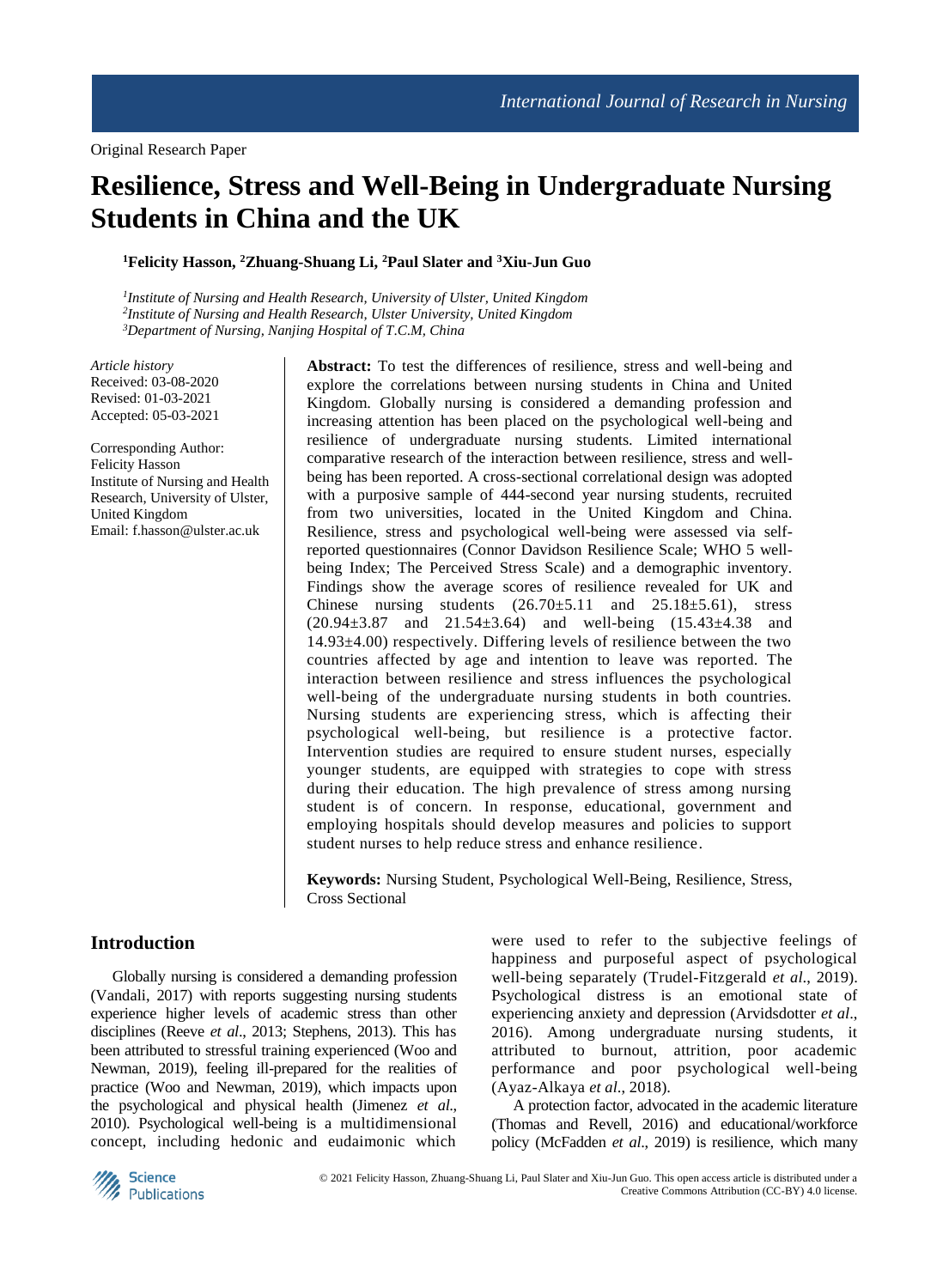# **Resilience, Stress and Well-Being in Undergraduate Nursing Students in China and the UK**

**<sup>1</sup>Felicity Hasson, <sup>2</sup>Zhuang-Shuang Li, <sup>2</sup>Paul Slater and <sup>3</sup>Xiu-Jun Guo**

*1 Institute of Nursing and Health Research, University of Ulster, United Kingdom 2 Institute of Nursing and Health Research, Ulster University, United Kingdom <sup>3</sup>Department of Nursing, Nanjing Hospital of T*.*C*.*M, China*

*Article history* Received: 03-08-2020 Revised: 01-03-2021 Accepted: 05-03-2021

Corresponding Author: Felicity Hasson Institute of Nursing and Health Research, University of Ulster, United Kingdom Email: f.hasson@ulster.ac.uk

**Abstract:** To test the differences of resilience, stress and well-being and explore the correlations between nursing students in China and United Kingdom. Globally nursing is considered a demanding profession and increasing attention has been placed on the psychological well-being and resilience of undergraduate nursing students. Limited international comparative research of the interaction between resilience, stress and wellbeing has been reported. A cross-sectional correlational design was adopted with a purposive sample of 444-second year nursing students, recruited from two universities, located in the United Kingdom and China. Resilience, stress and psychological well-being were assessed via selfreported questionnaires (Connor Davidson Resilience Scale; WHO 5 wellbeing Index; The Perceived Stress Scale) and a demographic inventory. Findings show the average scores of resilience revealed for UK and Chinese nursing students  $(26.70 \pm 5.11$  and  $25.18 \pm 5.61)$ , stress  $(20.94\pm3.87$  and  $21.54\pm3.64$  and well-being  $(15.43\pm4.38$  and  $14.93±4.00$ ) respectively. Differing levels of resilience between the two countries affected by age and intention to leave was reported. The interaction between resilience and stress influences the psychological well-being of the undergraduate nursing students in both countries. Nursing students are experiencing stress, which is affecting their psychological well-being, but resilience is a protective factor. Intervention studies are required to ensure student nurses, especially younger students, are equipped with strategies to cope with stress during their education. The high prevalence of stress among nursing student is of concern. In response, educational, government and employing hospitals should develop measures and policies to support student nurses to help reduce stress and enhance resilience.

**Keywords:** Nursing Student, Psychological Well-Being, Resilience, Stress, Cross Sectional

# **Introduction**

Globally nursing is considered a demanding profession (Vandali, 2017) with reports suggesting nursing students experience higher levels of academic stress than other disciplines (Reeve *et al*., 2013; Stephens, 2013). This has been attributed to stressful training experienced (Woo and Newman, 2019), feeling ill-prepared for the realities of practice (Woo and Newman, 2019), which impacts upon the psychological and physical health (Jimenez *et al*., 2010). Psychological well-being is a multidimensional concept, including hedonic and eudaimonic which

were used to refer to the subjective feelings of happiness and purposeful aspect of psychological well-being separately (Trudel-Fitzgerald *et al*., 2019). Psychological distress is an emotional state of experiencing anxiety and depression (Arvidsdotter *et al*., 2016). Among undergraduate nursing students, it attributed to burnout, attrition, poor academic performance and poor psychological well-being (Ayaz-Alkaya *et al*., 2018).

A protection factor, advocated in the academic literature (Thomas and Revell, 2016) and educational/workforce policy (McFadden *et al*., 2019) is resilience, which many

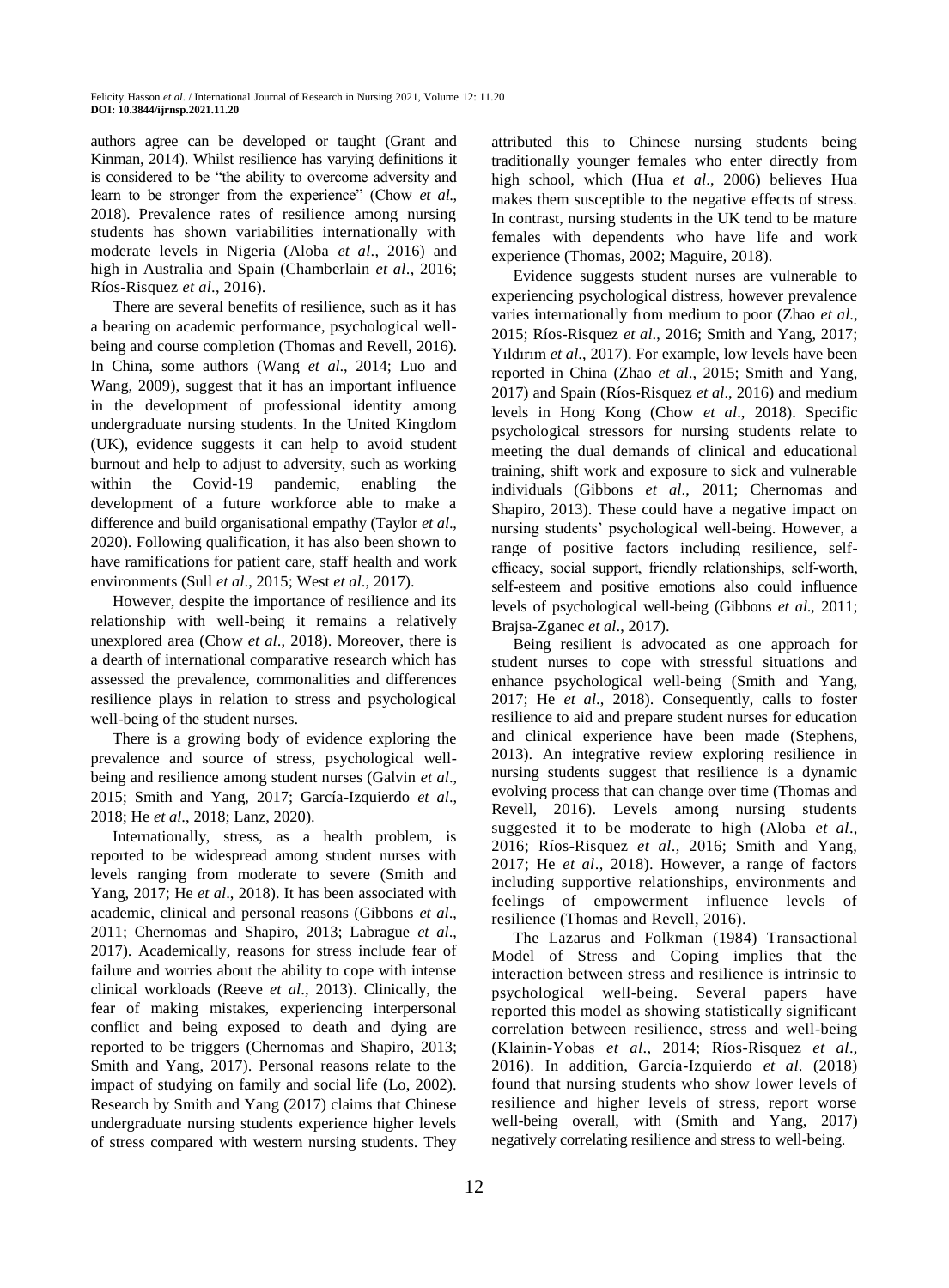authors agree can be developed or taught (Grant and Kinman, 2014). Whilst resilience has varying definitions it is considered to be "the ability to overcome adversity and learn to be stronger from the experience" (Chow *et al*., 2018). Prevalence rates of resilience among nursing students has shown variabilities internationally with moderate levels in Nigeria (Aloba *et al*., 2016) and high in Australia and Spain (Chamberlain *et al*., 2016; Ríos-Risquez *et al*., 2016).

There are several benefits of resilience, such as it has a bearing on academic performance, psychological wellbeing and course completion (Thomas and Revell, 2016). In China, some authors (Wang *et al*., 2014; Luo and Wang, 2009), suggest that it has an important influence in the development of professional identity among undergraduate nursing students. In the United Kingdom (UK), evidence suggests it can help to avoid student burnout and help to adjust to adversity, such as working within the Covid-19 pandemic, enabling the development of a future workforce able to make a difference and build organisational empathy (Taylor *et al*., 2020). Following qualification, it has also been shown to have ramifications for patient care, staff health and work environments (Sull *et al*., 2015; West *et al*., 2017).

However, despite the importance of resilience and its relationship with well-being it remains a relatively unexplored area (Chow *et al*., 2018). Moreover, there is a dearth of international comparative research which has assessed the prevalence, commonalities and differences resilience plays in relation to stress and psychological well-being of the student nurses.

There is a growing body of evidence exploring the prevalence and source of stress, psychological wellbeing and resilience among student nurses (Galvin *et al*., 2015; Smith and Yang, 2017; García-Izquierdo *et al*., 2018; He *et al*., 2018; Lanz, 2020).

Internationally, stress, as a health problem, is reported to be widespread among student nurses with levels ranging from moderate to severe (Smith and Yang, 2017; He *et al*., 2018). It has been associated with academic, clinical and personal reasons (Gibbons *et al*., 2011; Chernomas and Shapiro, 2013; Labrague *et al*., 2017). Academically, reasons for stress include fear of failure and worries about the ability to cope with intense clinical workloads (Reeve *et al*., 2013). Clinically, the fear of making mistakes, experiencing interpersonal conflict and being exposed to death and dying are reported to be triggers (Chernomas and Shapiro, 2013; Smith and Yang, 2017). Personal reasons relate to the impact of studying on family and social life (Lo, 2002). Research by Smith and Yang (2017) claims that Chinese undergraduate nursing students experience higher levels of stress compared with western nursing students. They attributed this to Chinese nursing students being traditionally younger females who enter directly from high school, which (Hua *et al*., 2006) believes Hua makes them susceptible to the negative effects of stress. In contrast, nursing students in the UK tend to be mature females with dependents who have life and work experience (Thomas, 2002; Maguire, 2018).

Evidence suggests student nurses are vulnerable to experiencing psychological distress, however prevalence varies internationally from medium to poor (Zhao *et al*., 2015; Ríos-Risquez *et al*., 2016; Smith and Yang, 2017; Yıldırım *et al*., 2017). For example, low levels have been reported in China (Zhao *et al*., 2015; Smith and Yang, 2017) and Spain (Ríos-Risquez *et al*., 2016) and medium levels in Hong Kong (Chow *et al*., 2018). Specific psychological stressors for nursing students relate to meeting the dual demands of clinical and educational training, shift work and exposure to sick and vulnerable individuals (Gibbons *et al*., 2011; Chernomas and Shapiro, 2013). These could have a negative impact on nursing students' psychological well-being. However, a range of positive factors including resilience, selfefficacy, social support, friendly relationships, self-worth, self-esteem and positive emotions also could influence levels of psychological well-being (Gibbons *et al*., 2011; Brajsa-Zganec *et al*., 2017).

Being resilient is advocated as one approach for student nurses to cope with stressful situations and enhance psychological well-being (Smith and Yang, 2017; He *et al*., 2018). Consequently, calls to foster resilience to aid and prepare student nurses for education and clinical experience have been made (Stephens, 2013). An integrative review exploring resilience in nursing students suggest that resilience is a dynamic evolving process that can change over time (Thomas and Revell, 2016). Levels among nursing students suggested it to be moderate to high (Aloba *et al*., 2016; Ríos-Risquez *et al*., 2016; Smith and Yang, 2017; He *et al*., 2018). However, a range of factors including supportive relationships, environments and feelings of empowerment influence levels of resilience (Thomas and Revell, 2016).

The Lazarus and Folkman (1984) Transactional Model of Stress and Coping implies that the interaction between stress and resilience is intrinsic to psychological well-being. Several papers have reported this model as showing statistically significant correlation between resilience, stress and well-being (Klainin‐Yobas *et al*., 2014; Ríos-Risquez *et al*., 2016). In addition, García-Izquierdo *et al*. (2018) found that nursing students who show lower levels of resilience and higher levels of stress, report worse well-being overall, with (Smith and Yang, 2017) negatively correlating resilience and stress to well-being.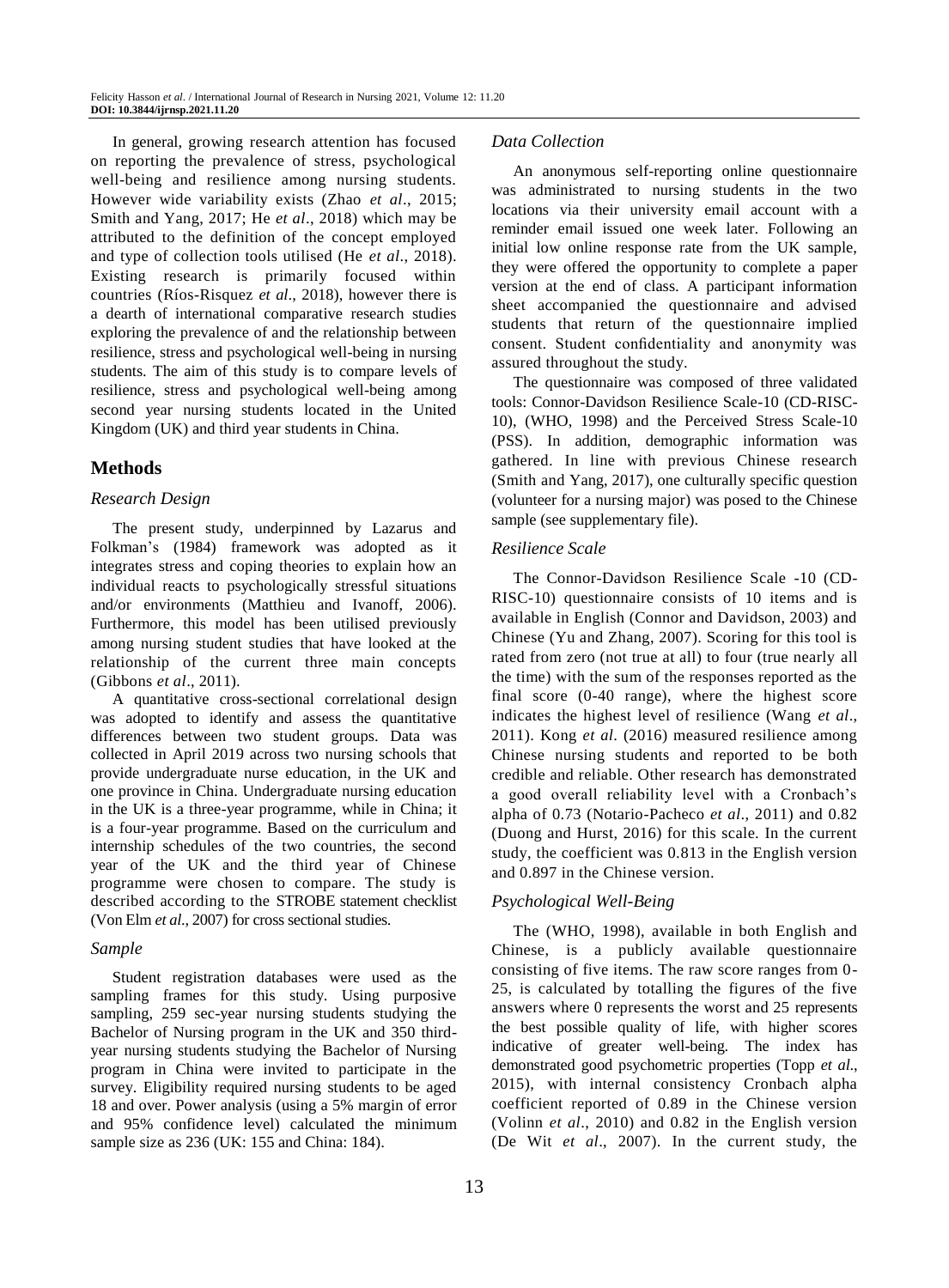In general, growing research attention has focused on reporting the prevalence of stress, psychological well-being and resilience among nursing students. However wide variability exists (Zhao *et al*., 2015; Smith and Yang, 2017; He *et al*., 2018) which may be attributed to the definition of the concept employed and type of collection tools utilised (He *et al*., 2018). Existing research is primarily focused within countries (Ríos-Risquez *et al*., 2018), however there is a dearth of international comparative research studies exploring the prevalence of and the relationship between resilience, stress and psychological well-being in nursing students. The aim of this study is to compare levels of resilience, stress and psychological well-being among second year nursing students located in the United Kingdom (UK) and third year students in China.

# **Methods**

## *Research Design*

The present study, underpinned by Lazarus and Folkman's (1984) framework was adopted as it integrates stress and coping theories to explain how an individual reacts to psychologically stressful situations and/or environments (Matthieu and Ivanoff, 2006). Furthermore, this model has been utilised previously among nursing student studies that have looked at the relationship of the current three main concepts (Gibbons *et al*., 2011).

A quantitative cross-sectional correlational design was adopted to identify and assess the quantitative differences between two student groups. Data was collected in April 2019 across two nursing schools that provide undergraduate nurse education, in the UK and one province in China. Undergraduate nursing education in the UK is a three-year programme, while in China; it is a four-year programme. Based on the curriculum and internship schedules of the two countries, the second year of the UK and the third year of Chinese programme were chosen to compare. The study is described according to the STROBE statement checklist (Von Elm *et al*., 2007) for cross sectional studies.

## *Sample*

Student registration databases were used as the sampling frames for this study. Using purposive sampling, 259 sec-year nursing students studying the Bachelor of Nursing program in the UK and 350 thirdyear nursing students studying the Bachelor of Nursing program in China were invited to participate in the survey. Eligibility required nursing students to be aged 18 and over. Power analysis (using a 5% margin of error and 95% confidence level) calculated the minimum sample size as 236 (UK: 155 and China: 184).

#### *Data Collection*

An anonymous self-reporting online questionnaire was administrated to nursing students in the two locations via their university email account with a reminder email issued one week later. Following an initial low online response rate from the UK sample, they were offered the opportunity to complete a paper version at the end of class. A participant information sheet accompanied the questionnaire and advised students that return of the questionnaire implied consent. Student confidentiality and anonymity was assured throughout the study.

The questionnaire was composed of three validated tools: Connor-Davidson Resilience Scale-10 (CD-RISC-10), (WHO, 1998) and the Perceived Stress Scale-10 (PSS). In addition, demographic information was gathered. In line with previous Chinese research (Smith and Yang, 2017), one culturally specific question (volunteer for a nursing major) was posed to the Chinese sample (see supplementary file).

## *Resilience Scale*

The Connor-Davidson Resilience Scale -10 (CD-RISC-10) questionnaire consists of 10 items and is available in English (Connor and Davidson, 2003) and Chinese (Yu and Zhang, 2007). Scoring for this tool is rated from zero (not true at all) to four (true nearly all the time) with the sum of the responses reported as the final score (0-40 range), where the highest score indicates the highest level of resilience (Wang *et al*., 2011). Kong *et al*. (2016) measured resilience among Chinese nursing students and reported to be both credible and reliable. Other research has demonstrated a good overall reliability level with a Cronbach's alpha of 0.73 (Notario-Pacheco *et al*., 2011) and 0.82 (Duong and Hurst, 2016) for this scale. In the current study, the coefficient was 0.813 in the English version and 0.897 in the Chinese version.

## *Psychological Well-Being*

The (WHO, 1998), available in both English and Chinese, is a publicly available questionnaire consisting of five items. The raw score ranges from 0- 25, is calculated by totalling the figures of the five answers where 0 represents the worst and 25 represents the best possible quality of life, with higher scores indicative of greater well-being. The index has demonstrated good psychometric properties (Topp *et al*., 2015), with internal consistency Cronbach alpha coefficient reported of 0.89 in the Chinese version (Volinn *et al*., 2010) and 0.82 in the English version (De Wit *et al*., 2007). In the current study, the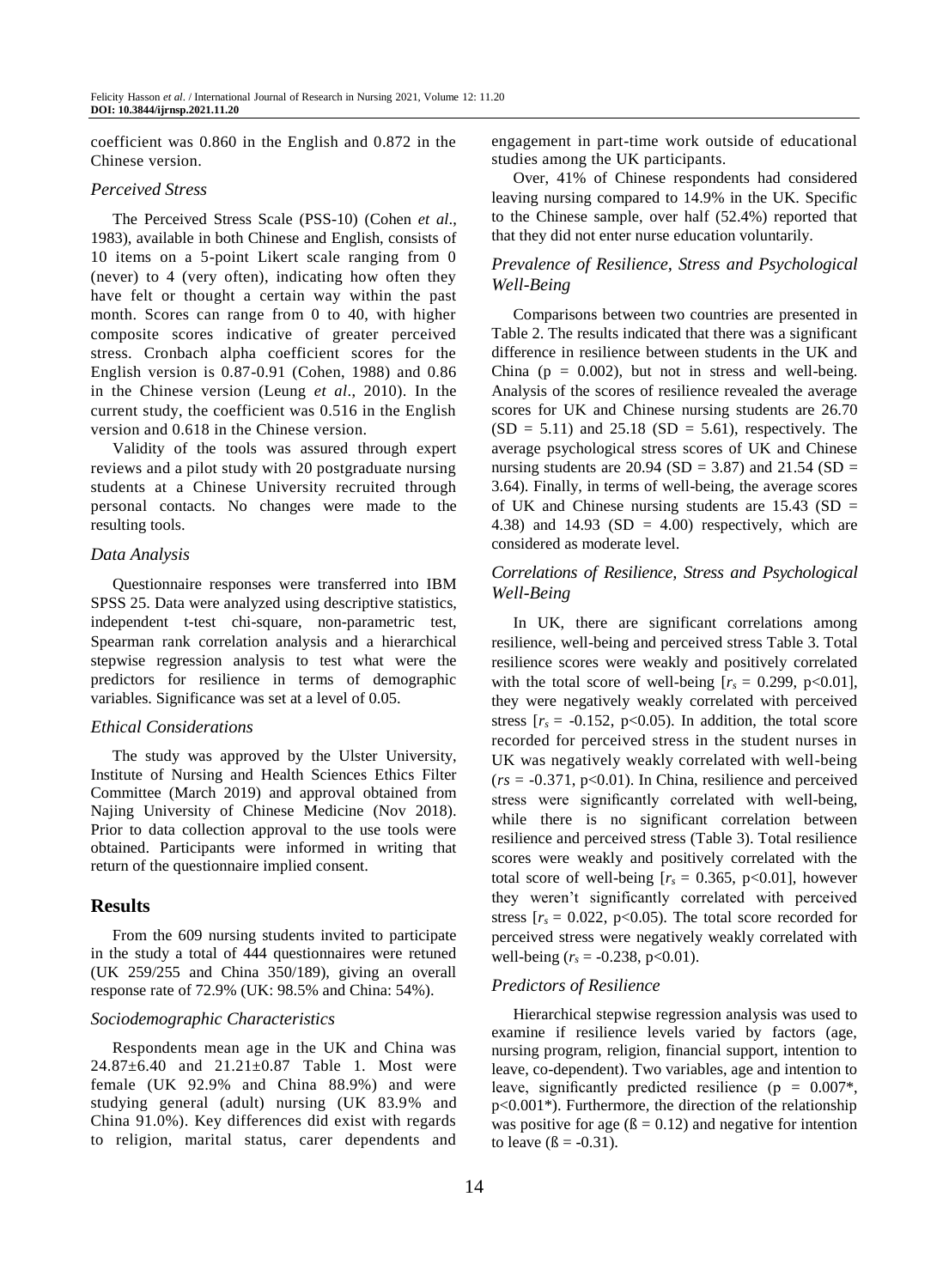coefficient was 0.860 in the English and 0.872 in the Chinese version.

## *Perceived Stress*

The Perceived Stress Scale (PSS-10) (Cohen *et al*., 1983), available in both Chinese and English, consists of 10 items on a 5-point Likert scale ranging from 0 (never) to 4 (very often), indicating how often they have felt or thought a certain way within the past month. Scores can range from 0 to 40, with higher composite scores indicative of greater perceived stress. Cronbach alpha coefficient scores for the English version is 0.87-0.91 (Cohen, 1988) and 0.86 in the Chinese version (Leung *et al*., 2010). In the current study, the coefficient was 0.516 in the English version and 0.618 in the Chinese version.

Validity of the tools was assured through expert reviews and a pilot study with 20 postgraduate nursing students at a Chinese University recruited through personal contacts. No changes were made to the resulting tools.

#### *Data Analysis*

Questionnaire responses were transferred into IBM SPSS 25. Data were analyzed using descriptive statistics, independent t-test chi-square, non-parametric test, Spearman rank correlation analysis and a hierarchical stepwise regression analysis to test what were the predictors for resilience in terms of demographic variables. Significance was set at a level of 0.05.

#### *Ethical Considerations*

The study was approved by the Ulster University, Institute of Nursing and Health Sciences Ethics Filter Committee (March 2019) and approval obtained from Najing University of Chinese Medicine (Nov 2018). Prior to data collection approval to the use tools were obtained. Participants were informed in writing that return of the questionnaire implied consent.

## **Results**

From the 609 nursing students invited to participate in the study a total of 444 questionnaires were retuned (UK 259/255 and China 350/189), giving an overall response rate of 72.9% (UK: 98.5% and China: 54%).

#### *Sociodemographic Characteristics*

Respondents mean age in the UK and China was 24.87±6.40 and 21.21±0.87 Table 1. Most were female (UK 92.9% and China 88.9%) and were studying general (adult) nursing (UK 83.9% and China 91.0%). Key differences did exist with regards to religion, marital status, carer dependents and engagement in part-time work outside of educational studies among the UK participants.

Over, 41% of Chinese respondents had considered leaving nursing compared to 14.9% in the UK. Specific to the Chinese sample, over half (52.4%) reported that that they did not enter nurse education voluntarily.

## *Prevalence of Resilience, Stress and Psychological Well-Being*

Comparisons between two countries are presented in Table 2. The results indicated that there was a significant difference in resilience between students in the UK and China ( $p = 0.002$ ), but not in stress and well-being. Analysis of the scores of resilience revealed the average scores for UK and Chinese nursing students are 26.70  $(SD = 5.11)$  and 25.18  $(SD = 5.61)$ , respectively. The average psychological stress scores of UK and Chinese nursing students are 20.94 (SD = 3.87) and 21.54 (SD = 3.64). Finally, in terms of well-being, the average scores of UK and Chinese nursing students are  $15.43$  (SD = 4.38) and 14.93 (SD = 4.00) respectively, which are considered as moderate level.

## *Correlations of Resilience, Stress and Psychological Well-Being*

In UK, there are significant correlations among resilience, well-being and perceived stress Table 3. Total resilience scores were weakly and positively correlated with the total score of well-being  $[r_s = 0.299, p<0.01]$ , they were negatively weakly correlated with perceived stress  $[r_s = -0.152, p<0.05)$ . In addition, the total score recorded for perceived stress in the student nurses in UK was negatively weakly correlated with well-being  $(rs = -0.371, p<0.01)$ . In China, resilience and perceived stress were significantly correlated with well-being, while there is no significant correlation between resilience and perceived stress (Table 3). Total resilience scores were weakly and positively correlated with the total score of well-being  $[r_s = 0.365, p<0.01]$ , however they weren't significantly correlated with perceived stress  $[r_s = 0.022, p<0.05)$ . The total score recorded for perceived stress were negatively weakly correlated with well-being  $(r_s = -0.238, p<0.01)$ .

#### *Predictors of Resilience*

Hierarchical stepwise regression analysis was used to examine if resilience levels varied by factors (age, nursing program, religion, financial support, intention to leave, co-dependent). Two variables, age and intention to leave, significantly predicted resilience ( $p = 0.007$ <sup>\*</sup>, p<0.001\*). Furthermore, the direction of the relationship was positive for age  $(\beta = 0.12)$  and negative for intention to leave  $(\beta = -0.31)$ .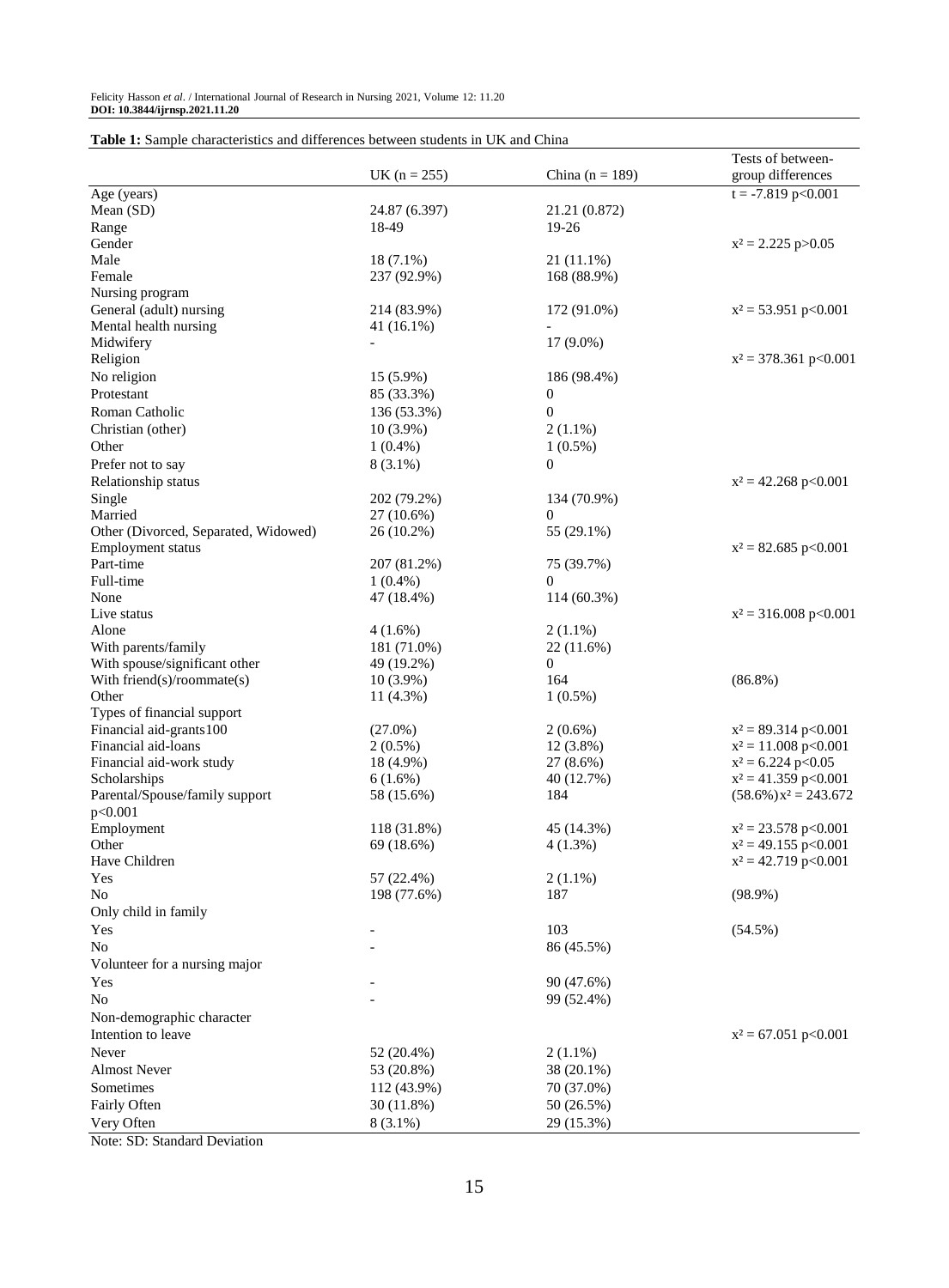|                                                 |                         |                          | Tests of between-                                |
|-------------------------------------------------|-------------------------|--------------------------|--------------------------------------------------|
|                                                 | UK ( $n = 255$ )        | China ( $n = 189$ )      | group differences                                |
| Age (years)                                     |                         |                          | $t = -7.819$ p < 0.001                           |
| Mean (SD)                                       | 24.87 (6.397)           | 21.21 (0.872)            |                                                  |
| Range                                           | 18-49                   | 19-26                    |                                                  |
| Gender                                          |                         |                          | $x^2 = 2.225$ p $> 0.05$                         |
| Male                                            | $18(7.1\%)$             | 21 (11.1%)               |                                                  |
| Female                                          | 237 (92.9%)             | 168 (88.9%)              |                                                  |
| Nursing program                                 |                         |                          |                                                  |
| General (adult) nursing                         | 214 (83.9%)             | 172 (91.0%)              | $x^2 = 53.951$ p<0.001                           |
| Mental health nursing                           | 41 (16.1%)              |                          |                                                  |
| Midwifery                                       |                         | $17(9.0\%)$              |                                                  |
| Religion                                        |                         |                          | $x^2 = 378.361$ p<0.001                          |
| No religion                                     | 15 (5.9%)               | 186 (98.4%)              |                                                  |
| Protestant                                      | 85 (33.3%)              | $\boldsymbol{0}$         |                                                  |
| Roman Catholic                                  | 136 (53.3%)             | $\boldsymbol{0}$         |                                                  |
| Christian (other)                               | $10(3.9\%)$             | $2(1.1\%)$               |                                                  |
| Other                                           | $1(0.4\%)$              | $1(0.5\%)$               |                                                  |
| Prefer not to say                               | $8(3.1\%)$              | $\overline{0}$           |                                                  |
| Relationship status                             |                         |                          | $x^2 = 42.268$ p<0.001                           |
| Single                                          | 202 (79.2%)             | 134 (70.9%)              |                                                  |
| Married                                         | 27 (10.6%)              | $\mathbf{0}$             |                                                  |
| Other (Divorced, Separated, Widowed)            | 26 (10.2%)              | 55 (29.1%)               |                                                  |
| <b>Employment status</b>                        |                         |                          | $x^2 = 82.685$ p<0.001                           |
| Part-time                                       | 207 (81.2%)             | 75 (39.7%)               |                                                  |
| Full-time                                       | $1(0.4\%)$              | 0                        |                                                  |
| None                                            | 47 (18.4%)              | 114 (60.3%)              |                                                  |
| Live status                                     |                         |                          | $x^2 = 316.008 \text{ p} < 0.001$                |
| Alone                                           | $4(1.6\%)$              | $2(1.1\%)$               |                                                  |
| With parents/family                             | 181 (71.0%)             | 22 (11.6%)               |                                                  |
| With spouse/significant other                   | 49 (19.2%)              | $\boldsymbol{0}$         |                                                  |
| With friend(s)/roommate(s)                      | $10(3.9\%)$             | 164                      | $(86.8\%)$                                       |
| Other                                           | 11 (4.3%)               | $1(0.5\%)$               |                                                  |
| Types of financial support                      |                         |                          |                                                  |
| Financial aid-grants 100<br>Financial aid-loans | $(27.0\%)$              | $2(0.6\%)$               | $x^2 = 89.314$ p<0.001<br>$x^2 = 11.008$ p<0.001 |
| Financial aid-work study                        | $2(0.5\%)$<br>18 (4.9%) | 12 (3.8%)<br>$27(8.6\%)$ | $x^2 = 6.224$ p<0.05                             |
| Scholarships                                    | 6(1.6%)                 | 40 (12.7%)               | $x^2 = 41.359$ p<0.001                           |
| Parental/Spouse/family support                  | 58 (15.6%)              | 184                      | $(58.6\%)$ $x^2 = 243.672$                       |
| p<0.001                                         |                         |                          |                                                  |
| Employment                                      | 118 (31.8%)             | 45 (14.3%)               | $x^2 = 23.578$ p<0.001                           |
| Other                                           | 69 (18.6%)              | 4(1.3%)                  | $x^2 = 49.155$ p<0.001                           |
| Have Children                                   |                         |                          | $x^2 = 42.719$ p<0.001                           |
| Yes                                             | 57 (22.4%)              | $2(1.1\%)$               |                                                  |
| No                                              | 198 (77.6%)             | 187                      | $(98.9\%)$                                       |
| Only child in family                            |                         |                          |                                                  |
| Yes                                             |                         | 103                      | $(54.5\%)$                                       |
| No                                              |                         | 86 (45.5%)               |                                                  |
| Volunteer for a nursing major                   |                         |                          |                                                  |
| Yes                                             |                         | 90 (47.6%)               |                                                  |
| No                                              |                         | 99 (52.4%)               |                                                  |
| Non-demographic character                       |                         |                          |                                                  |
| Intention to leave                              |                         |                          | $x^2 = 67.051$ p<0.001                           |
| Never                                           | 52 (20.4%)              | $2(1.1\%)$               |                                                  |
| <b>Almost Never</b>                             | 53 (20.8%)              | 38 (20.1%)               |                                                  |
| Sometimes                                       | 112 (43.9%)             | 70 (37.0%)               |                                                  |
|                                                 |                         |                          |                                                  |
| Fairly Often                                    | 30 (11.8%)              | 50 (26.5%)               |                                                  |
| Very Often<br>Note: CD: Standard Davistion      | $8(3.1\%)$              | 29 (15.3%)               |                                                  |

Note: SD: Standard Deviation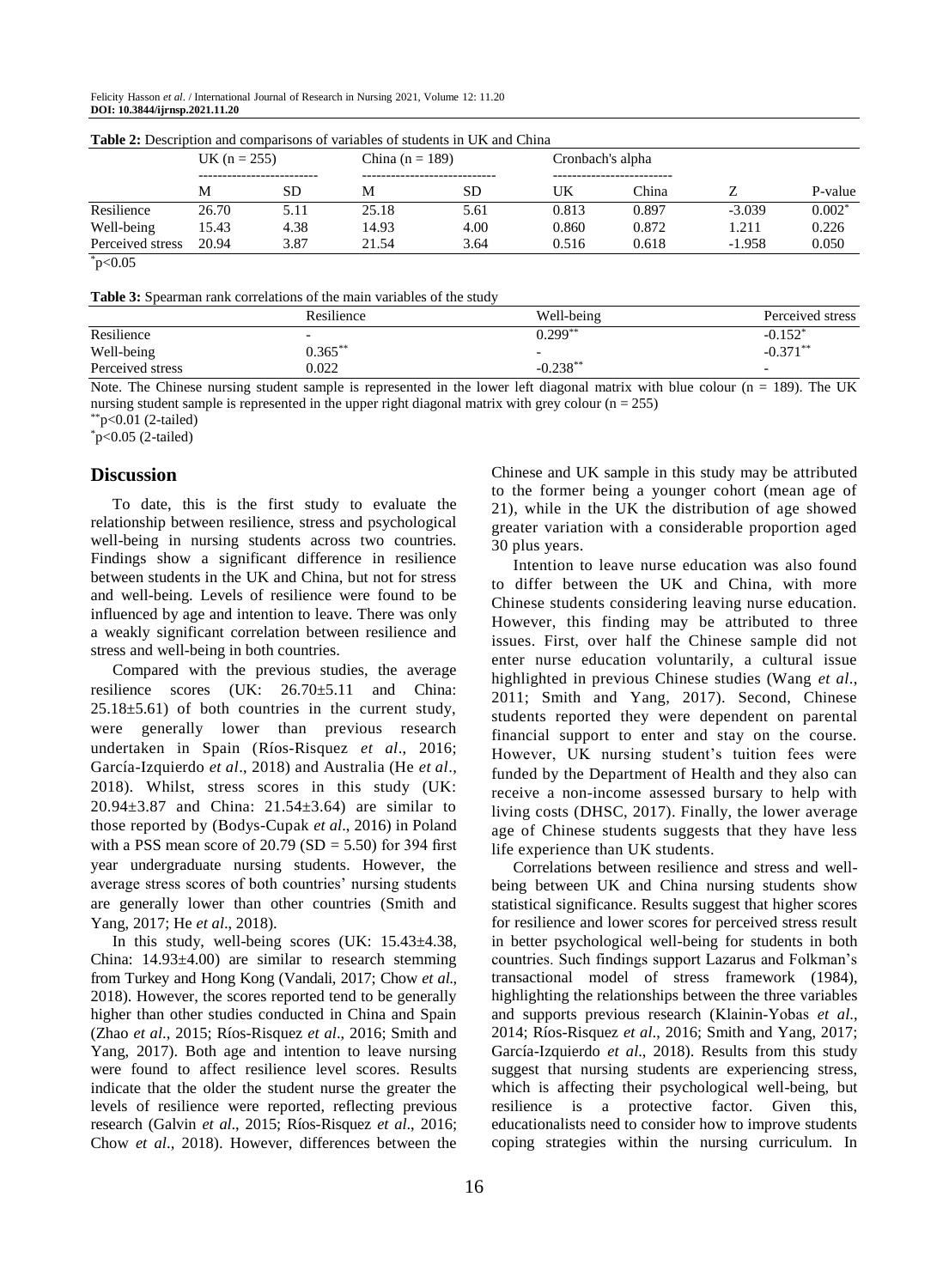Felicity Hasson *et al*. / International Journal of Research in Nursing 2021, Volume 12: 11.20 **DOI: 10.3844/ijrnsp.2021.11.20**

| <b>Table 2:</b> Description and comparisons of variables of students in UK and China |                |      |                     |           |                  |       |          |           |
|--------------------------------------------------------------------------------------|----------------|------|---------------------|-----------|------------------|-------|----------|-----------|
|                                                                                      | UK $(n = 255)$ |      | China ( $n = 189$ ) |           | Cronbach's alpha |       |          |           |
|                                                                                      |                |      |                     |           |                  |       |          |           |
|                                                                                      | М              | SD.  | М                   | <b>SD</b> | UK               | China |          | P-value   |
| Resilience                                                                           | 26.70          | 5.11 | 25.18               | 5.61      | 0.813            | 0.897 | $-3.039$ | $0.002^*$ |
| Well-being                                                                           | 15.43          | 4.38 | 14.93               | 4.00      | 0.860            | 0.872 | 1.211    | 0.226     |
| Perceived stress                                                                     | 20.94          | 3.87 | 21.54               | 3.64      | 0.516            | 0.618 | $-1.958$ | 0.050     |
| .                                                                                    |                |      |                     |           |                  |       |          |           |

**Table 2:** Description and comparisons of variables of students in UK and China

 $*_{p<0.05}$ 

**Table 3:** Spearman rank correlations of the main variables of the study

|                  | Resilience | Well-being | Perceived stress         |  |
|------------------|------------|------------|--------------------------|--|
| Resilience       |            | $0.299**$  | $-0.152*$                |  |
| Well-being       | $0.365***$ |            | $-0.371***$              |  |
| Perceived stress | 0.022      | $-0.238**$ | $\overline{\phantom{0}}$ |  |

Note. The Chinese nursing student sample is represented in the lower left diagonal matrix with blue colour ( $n = 189$ ). The UK nursing student sample is represented in the upper right diagonal matrix with grey colour  $(n = 255)$ 

 $*$ p<0.01 (2-tailed)

 $p < 0.05$  (2-tailed)

#### **Discussion**

To date, this is the first study to evaluate the relationship between resilience, stress and psychological well-being in nursing students across two countries. Findings show a significant difference in resilience between students in the UK and China, but not for stress and well-being. Levels of resilience were found to be influenced by age and intention to leave. There was only a weakly significant correlation between resilience and stress and well-being in both countries.

Compared with the previous studies, the average resilience scores (UK: 26.70±5.11 and China:  $25.18±5.61$ ) of both countries in the current study, were generally lower than previous research undertaken in Spain (Ríos-Risquez *et al*., 2016; García-Izquierdo *et al*., 2018) and Australia (He *et al*., 2018). Whilst, stress scores in this study (UK: 20.94±3.87 and China: 21.54±3.64) are similar to those reported by (Bodys-Cupak *et al*., 2016) in Poland with a PSS mean score of  $20.79$  (SD = 5.50) for 394 first year undergraduate nursing students. However, the average stress scores of both countries' nursing students are generally lower than other countries (Smith and Yang, 2017; He *et al*., 2018).

In this study, well-being scores (UK: 15.43±4.38, China:  $14.93\pm4.00$ ) are similar to research stemming from Turkey and Hong Kong (Vandali, 2017; Chow *et al*., 2018). However, the scores reported tend to be generally higher than other studies conducted in China and Spain (Zhao *et al*., 2015; Ríos-Risquez *et al*., 2016; Smith and Yang, 2017). Both age and intention to leave nursing were found to affect resilience level scores. Results indicate that the older the student nurse the greater the levels of resilience were reported, reflecting previous research (Galvin *et al*., 2015; Ríos-Risquez *et al*., 2016; Chow *et al*., 2018). However, differences between the Chinese and UK sample in this study may be attributed to the former being a younger cohort (mean age of 21), while in the UK the distribution of age showed greater variation with a considerable proportion aged 30 plus years.

Intention to leave nurse education was also found to differ between the UK and China, with more Chinese students considering leaving nurse education. However, this finding may be attributed to three issues. First, over half the Chinese sample did not enter nurse education voluntarily, a cultural issue highlighted in previous Chinese studies (Wang *et al*., 2011; Smith and Yang, 2017). Second, Chinese students reported they were dependent on parental financial support to enter and stay on the course. However, UK nursing student's tuition fees were funded by the Department of Health and they also can receive a non-income assessed bursary to help with living costs (DHSC, 2017). Finally, the lower average age of Chinese students suggests that they have less life experience than UK students.

Correlations between resilience and stress and wellbeing between UK and China nursing students show statistical significance. Results suggest that higher scores for resilience and lower scores for perceived stress result in better psychological well-being for students in both countries. Such findings support Lazarus and Folkman's transactional model of stress framework (1984), highlighting the relationships between the three variables and supports previous research (Klainin‐Yobas *et al*., 2014; Ríos-Risquez *et al*., 2016; Smith and Yang, 2017; García-Izquierdo *et al*., 2018). Results from this study suggest that nursing students are experiencing stress, which is affecting their psychological well-being, but resilience is a protective factor. Given this, educationalists need to consider how to improve students coping strategies within the nursing curriculum. In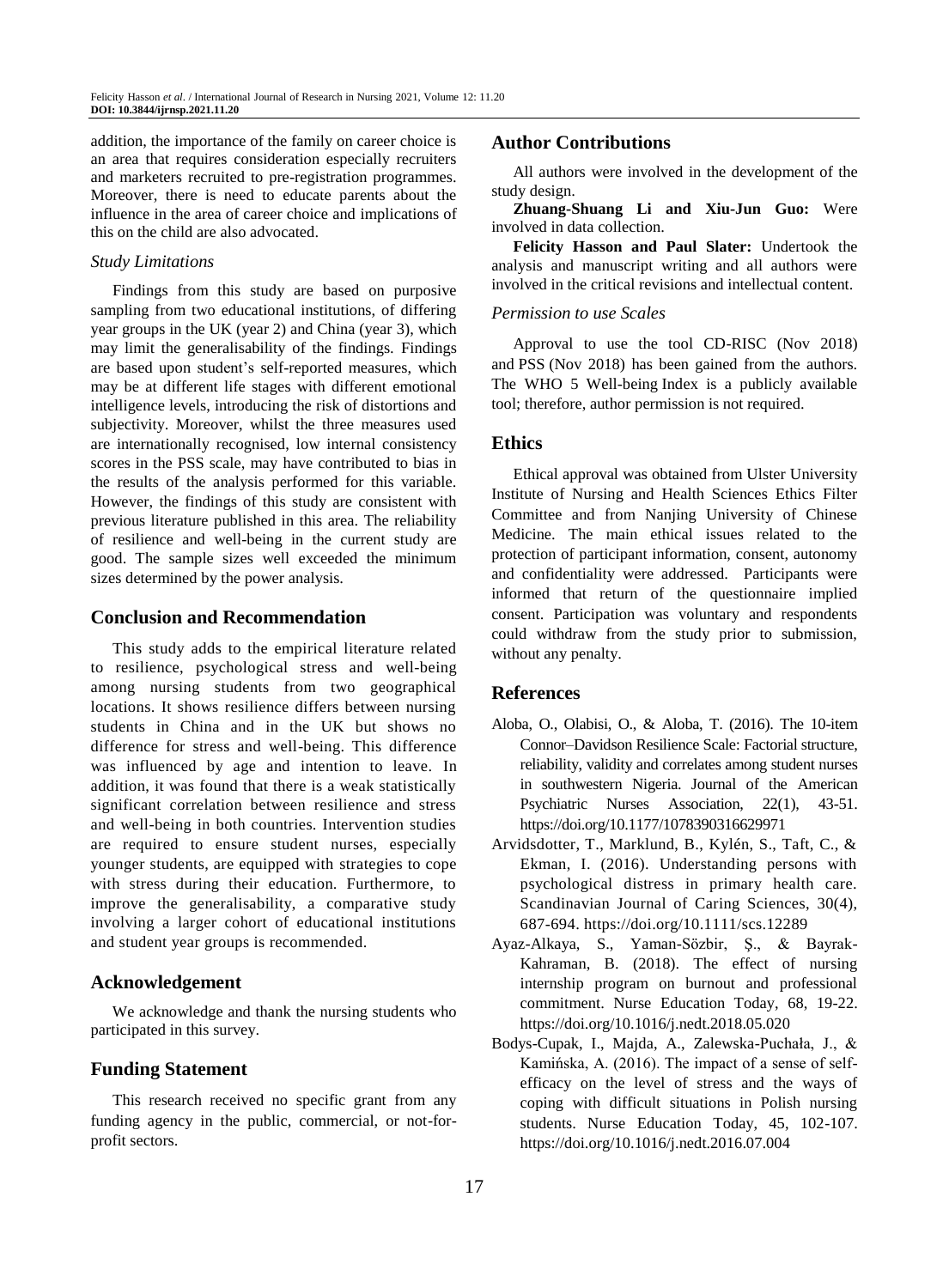addition, the importance of the family on career choice is an area that requires consideration especially recruiters and marketers recruited to pre-registration programmes. Moreover, there is need to educate parents about the influence in the area of career choice and implications of this on the child are also advocated.

#### *Study Limitations*

Findings from this study are based on purposive sampling from two educational institutions, of differing year groups in the UK (year 2) and China (year 3), which may limit the generalisability of the findings. Findings are based upon student's self-reported measures, which may be at different life stages with different emotional intelligence levels, introducing the risk of distortions and subjectivity. Moreover, whilst the three measures used are internationally recognised, low internal consistency scores in the PSS scale, may have contributed to bias in the results of the analysis performed for this variable. However, the findings of this study are consistent with previous literature published in this area. The reliability of resilience and well-being in the current study are good. The sample sizes well exceeded the minimum sizes determined by the power analysis.

## **Conclusion and Recommendation**

This study adds to the empirical literature related to resilience, psychological stress and well-being among nursing students from two geographical locations. It shows resilience differs between nursing students in China and in the UK but shows no difference for stress and well-being. This difference was influenced by age and intention to leave. In addition, it was found that there is a weak statistically significant correlation between resilience and stress and well-being in both countries. Intervention studies are required to ensure student nurses, especially younger students, are equipped with strategies to cope with stress during their education. Furthermore, to improve the generalisability, a comparative study involving a larger cohort of educational institutions and student year groups is recommended.

#### **Acknowledgement**

We acknowledge and thank the nursing students who participated in this survey.

## **Funding Statement**

This research received no specific grant from any funding agency in the public, commercial, or not-forprofit sectors.

#### **Author Contributions**

All authors were involved in the development of the study design.

**Zhuang-Shuang Li and Xiu-Jun Guo:** Were involved in data collection.

**Felicity Hasson and Paul Slater:** Undertook the analysis and manuscript writing and all authors were involved in the critical revisions and intellectual content.

#### *Permission to use Scales*

Approval to use the tool CD-RISC (Nov 2018) and PSS (Nov 2018) has been gained from the authors. The WHO 5 Well-being Index is a publicly available tool; therefore, author permission is not required.

## **Ethics**

Ethical approval was obtained from Ulster University Institute of Nursing and Health Sciences Ethics Filter Committee and from Nanjing University of Chinese Medicine. The main ethical issues related to the protection of participant information, consent, autonomy and confidentiality were addressed. Participants were informed that return of the questionnaire implied consent. Participation was voluntary and respondents could withdraw from the study prior to submission, without any penalty.

#### **References**

- Aloba, O., Olabisi, O., & Aloba, T. (2016). The 10-item Connor–Davidson Resilience Scale: Factorial structure, reliability, validity and correlates among student nurses in southwestern Nigeria. Journal of the American Psychiatric Nurses Association, 22(1), 43-51. https://doi.org/10.1177/1078390316629971
- Arvidsdotter, T., Marklund, B., Kylén, S., Taft, C., & Ekman, I. (2016). Understanding persons with psychological distress in primary health care. Scandinavian Journal of Caring Sciences, 30(4), 687-694. https://doi.org/10.1111/scs.12289
- Ayaz-Alkaya, S., Yaman-Sözbir, Ş., & Bayrak-Kahraman, B. (2018). The effect of nursing internship program on burnout and professional commitment. Nurse Education Today, 68, 19-22. https://doi.org/10.1016/j.nedt.2018.05.020
- Bodys-Cupak, I., Majda, A., Zalewska-Puchała, J., & Kamińska, A. (2016). The impact of a sense of selfefficacy on the level of stress and the ways of coping with difficult situations in Polish nursing students. Nurse Education Today, 45, 102-107. https://doi.org/10.1016/j.nedt.2016.07.004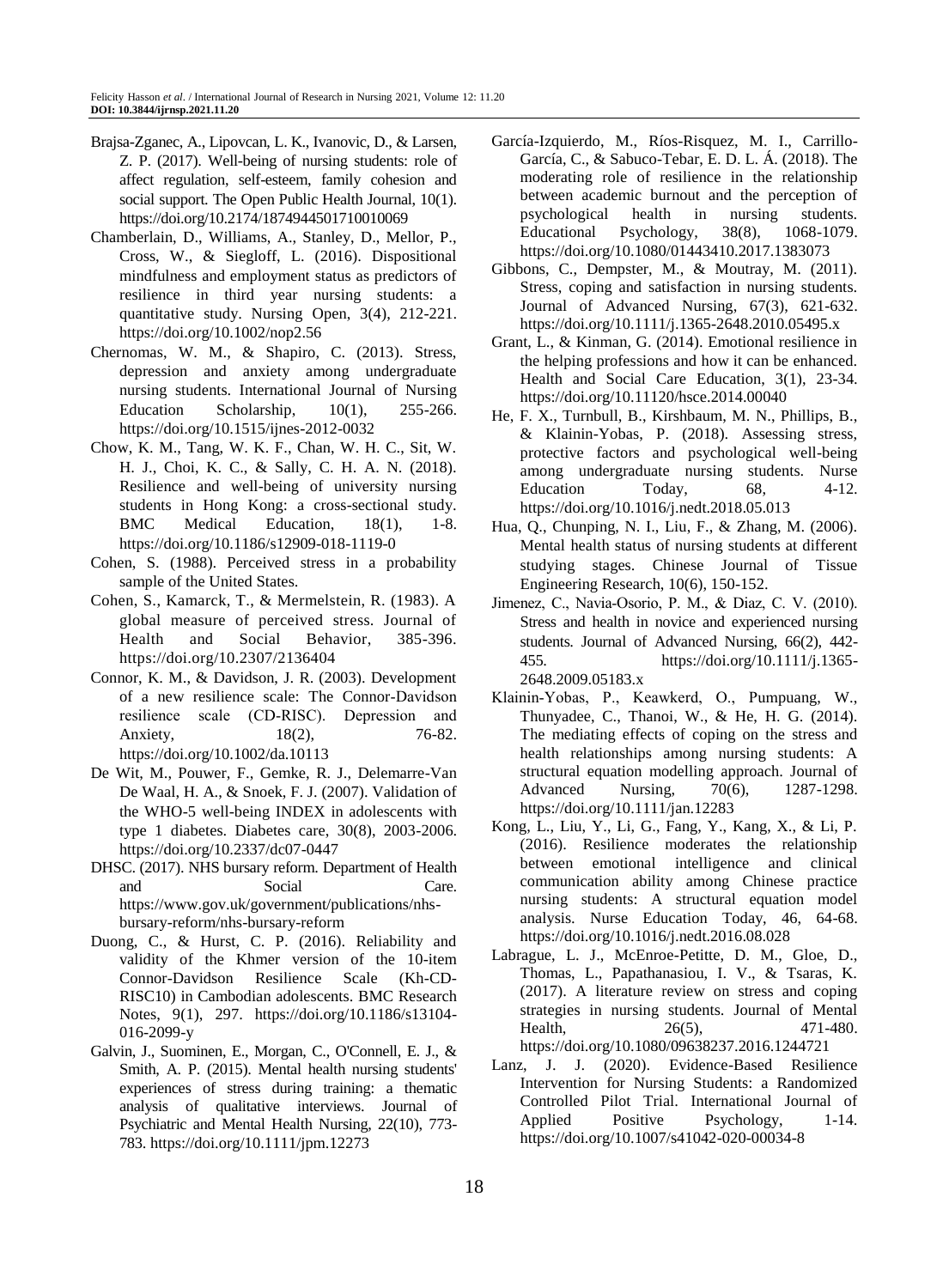- Brajsa-Zganec, A., Lipovcan, L. K., Ivanovic, D., & Larsen, Z. P. (2017). Well-being of nursing students: role of affect regulation, self-esteem, family cohesion and social support. The Open Public Health Journal, 10(1). https://doi.org/10.2174/1874944501710010069
- Chamberlain, D., Williams, A., Stanley, D., Mellor, P., Cross, W., & Siegloff, L. (2016). Dispositional mindfulness and employment status as predictors of resilience in third year nursing students: a quantitative study. Nursing Open, 3(4), 212-221. https://doi.org/10.1002/nop2.56
- Chernomas, W. M., & Shapiro, C. (2013). Stress, depression and anxiety among undergraduate nursing students. International Journal of Nursing Education Scholarship,  $10(1)$ , 255-266. https://doi.org/10.1515/ijnes-2012-0032
- Chow, K. M., Tang, W. K. F., Chan, W. H. C., Sit, W. H. J., Choi, K. C., & Sally, C. H. A. N. (2018). Resilience and well-being of university nursing students in Hong Kong: a cross-sectional study. BMC Medical Education, 18(1), 1-8. https://doi.org/10.1186/s12909-018-1119-0
- Cohen, S. (1988). Perceived stress in a probability sample of the United States.
- Cohen, S., Kamarck, T., & Mermelstein, R. (1983). A global measure of perceived stress. Journal of Health and Social Behavior, 385-396. https://doi.org/10.2307/2136404
- Connor, K. M., & Davidson, J. R. (2003). Development of a new resilience scale: The Connor‐Davidson resilience scale (CD‐RISC). Depression and Anxiety, 18(2), 76-82. https://doi.org/10.1002/da.10113
- De Wit, M., Pouwer, F., Gemke, R. J., Delemarre-Van De Waal, H. A., & Snoek, F. J. (2007). Validation of the WHO-5 well-being INDEX in adolescents with type 1 diabetes. Diabetes care, 30(8), 2003-2006. https://doi.org/10.2337/dc07-0447
- DHSC. (2017). NHS bursary reform. Department of Health and Social Care. [https://www.gov.uk/government/publications/nhs](https://www.gov.uk/government/publications/nhs-bursary-reform/nhs-bursary-reform)[bursary-reform/nhs-bursary-reform](https://www.gov.uk/government/publications/nhs-bursary-reform/nhs-bursary-reform)
- Duong, C., & Hurst, C. P. (2016). Reliability and validity of the Khmer version of the 10-item Connor-Davidson Resilience Scale (Kh-CD-RISC10) in Cambodian adolescents. BMC Research Notes, 9(1), 297. https://doi.org/10.1186/s13104- 016-2099-y
- Galvin, J., Suominen, E., Morgan, C., O'Connell, E. J., & Smith, A. P. (2015). Mental health nursing students' experiences of stress during training: a thematic analysis of qualitative interviews. Journal of Psychiatric and Mental Health Nursing, 22(10), 773- 783. https://doi.org/10.1111/jpm.12273
- García-Izquierdo, M., Ríos-Risquez, M. I., Carrillo-García, C., & Sabuco-Tebar, E. D. L. Á. (2018). The moderating role of resilience in the relationship between academic burnout and the perception of psychological health in nursing students. Educational Psychology, 38(8), 1068-1079. https://doi.org/10.1080/01443410.2017.1383073
- Gibbons, C., Dempster, M., & Moutray, M. (2011). Stress, coping and satisfaction in nursing students. Journal of Advanced Nursing, 67(3), 621-632. https://doi.org/10.1111/j.1365-2648.2010.05495.x
- Grant, L., & Kinman, G. (2014). Emotional resilience in the helping professions and how it can be enhanced. Health and Social Care Education, 3(1), 23-34. https://doi.org/10.11120/hsce.2014.00040
- He, F. X., Turnbull, B., Kirshbaum, M. N., Phillips, B., & Klainin-Yobas, P. (2018). Assessing stress, protective factors and psychological well-being among undergraduate nursing students. Nurse Education Today, 68, 4-12. https://doi.org/10.1016/j.nedt.2018.05.013
- Hua, Q., Chunping, N. I., Liu, F., & Zhang, M. (2006). Mental health status of nursing students at different studying stages. Chinese Journal of Tissue Engineering Research, 10(6), 150-152.
- Jimenez, C., Navia‐Osorio, P. M., & Diaz, C. V. (2010). Stress and health in novice and experienced nursing students. Journal of Advanced Nursing, 66(2), 442- 455. https://doi.org/10.1111/j.1365- 2648.2009.05183.x
- Klainin‐Yobas, P., Keawkerd, O., Pumpuang, W., Thunyadee, C., Thanoi, W., & He, H. G. (2014). The mediating effects of coping on the stress and health relationships among nursing students: A structural equation modelling approach. Journal of Advanced Nursing, 70(6), 1287-1298. https://doi.org/10.1111/jan.12283
- Kong, L., Liu, Y., Li, G., Fang, Y., Kang, X., & Li, P. (2016). Resilience moderates the relationship between emotional intelligence and clinical communication ability among Chinese practice nursing students: A structural equation model analysis. Nurse Education Today, 46, 64-68. https://doi.org/10.1016/j.nedt.2016.08.028
- Labrague, L. J., McEnroe-Petitte, D. M., Gloe, D., Thomas, L., Papathanasiou, I. V., & Tsaras, K. (2017). A literature review on stress and coping strategies in nursing students. Journal of Mental Health, 26(5), 471-480. https://doi.org/10.1080/09638237.2016.1244721
- Lanz, J. J. (2020). Evidence-Based Resilience Intervention for Nursing Students: a Randomized Controlled Pilot Trial. International Journal of Applied Positive Psychology, 1-14. https://doi.org/10.1007/s41042-020-00034-8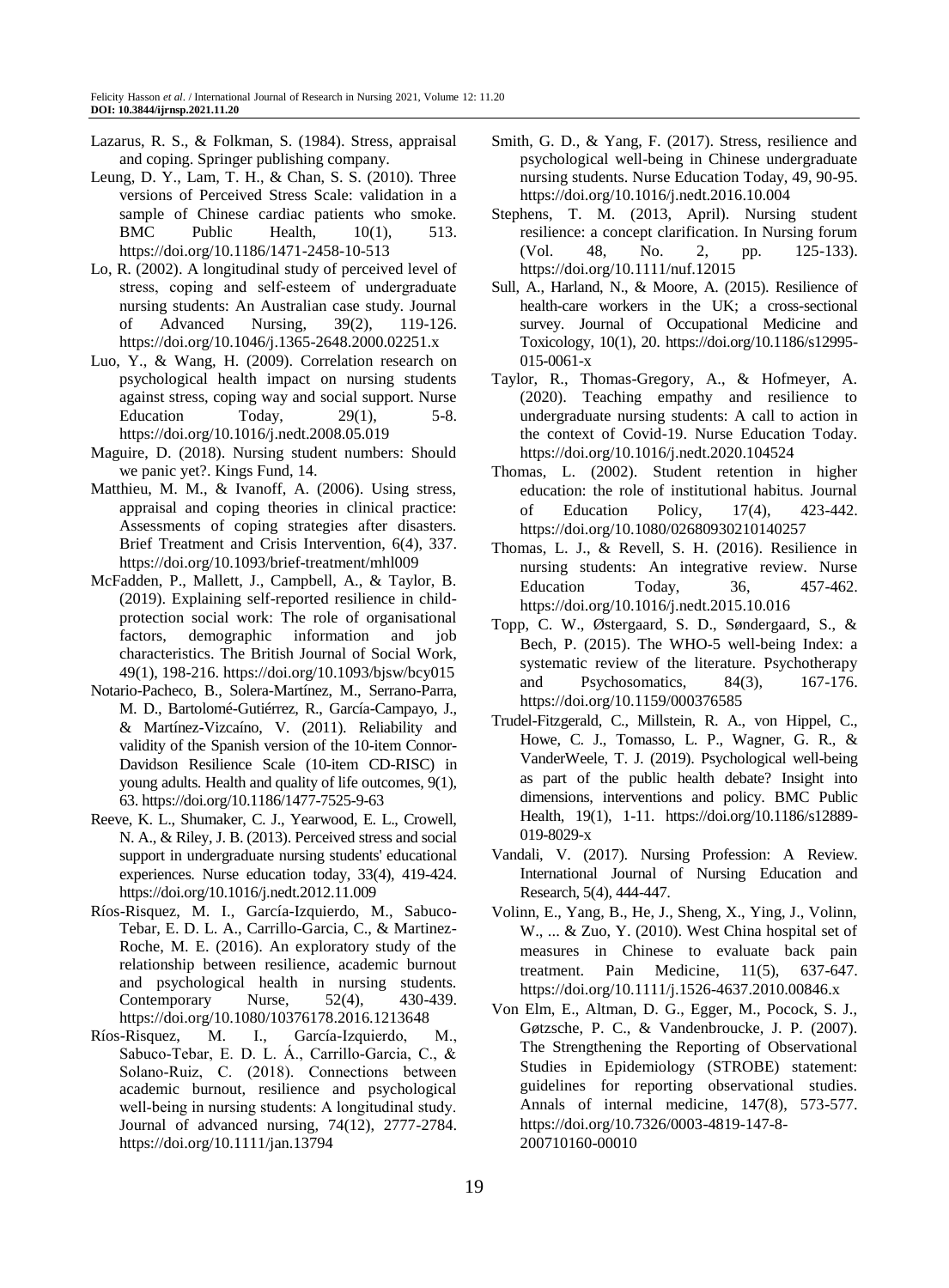- Lazarus, R. S., & Folkman, S. (1984). Stress, appraisal and coping. Springer publishing company.
- Leung, D. Y., Lam, T. H., & Chan, S. S. (2010). Three versions of Perceived Stress Scale: validation in a sample of Chinese cardiac patients who smoke. BMC Public Health,  $10(1)$ , 513. https://doi.org/10.1186/1471-2458-10-513
- Lo, R. (2002). A longitudinal study of perceived level of stress, coping and self‐esteem of undergraduate nursing students: An Australian case study. Journal of Advanced Nursing, 39(2), 119-126. https://doi.org/10.1046/j.1365-2648.2000.02251.x
- Luo, Y., & Wang, H. (2009). Correlation research on psychological health impact on nursing students against stress, coping way and social support. Nurse Education  $\qquad \qquad$  Today,  $\qquad \qquad$  29(1),  $\qquad \qquad$  5-8. https://doi.org/10.1016/j.nedt.2008.05.019
- Maguire, D. (2018). Nursing student numbers: Should we panic yet?. Kings Fund, 14.
- Matthieu, M. M., & Ivanoff, A. (2006). Using stress, appraisal and coping theories in clinical practice: Assessments of coping strategies after disasters. Brief Treatment and Crisis Intervention, 6(4), 337. https://doi.org/10.1093/brief-treatment/mhl009
- McFadden, P., Mallett, J., Campbell, A., & Taylor, B. (2019). Explaining self-reported resilience in childprotection social work: The role of organisational factors, demographic information and job characteristics. The British Journal of Social Work, 49(1), 198-216. https://doi.org/10.1093/bjsw/bcy015
- Notario-Pacheco, B., Solera-Martínez, M., Serrano-Parra, M. D., Bartolomé-Gutiérrez, R., García-Campayo, J., & Martínez-Vizcaíno, V. (2011). Reliability and validity of the Spanish version of the 10-item Connor-Davidson Resilience Scale (10-item CD-RISC) in young adults. Health and quality of life outcomes, 9(1), 63. https://doi.org/10.1186/1477-7525-9-63
- Reeve, K. L., Shumaker, C. J., Yearwood, E. L., Crowell, N. A., & Riley, J. B. (2013). Perceived stress and social support in undergraduate nursing students' educational experiences. Nurse education today, 33(4), 419-424. https://doi.org/10.1016/j.nedt.2012.11.009
- Ríos-Risquez, M. I., García-Izquierdo, M., Sabuco-Tebar, E. D. L. A., Carrillo-Garcia, C., & Martinez-Roche, M. E. (2016). An exploratory study of the relationship between resilience, academic burnout and psychological health in nursing students. Contemporary Nurse, 52(4), 430-439. https://doi.org/10.1080/10376178.2016.1213648
- Ríos-Risquez, M. I., García‐Izquierdo, M., Sabuco‐Tebar, E. D. L. Á., Carrillo‐Garcia, C., & Solano‐Ruiz, C. (2018). Connections between academic burnout, resilience and psychological well-being in nursing students: A longitudinal study. Journal of advanced nursing, 74(12), 2777-2784. https://doi.org/10.1111/jan.13794
- Smith, G. D., & Yang, F. (2017). Stress, resilience and psychological well-being in Chinese undergraduate nursing students. Nurse Education Today, 49, 90-95. https://doi.org/10.1016/j.nedt.2016.10.004
- Stephens, T. M. (2013, April). Nursing student resilience: a concept clarification. In Nursing forum (Vol. 48, No. 2, pp. 125-133). https://doi.org/10.1111/nuf.12015
- Sull, A., Harland, N., & Moore, A. (2015). Resilience of health-care workers in the UK; a cross-sectional survey. Journal of Occupational Medicine and Toxicology, 10(1), 20. https://doi.org/10.1186/s12995- 015-0061-x
- Taylor, R., Thomas-Gregory, A., & Hofmeyer, A. (2020). Teaching empathy and resilience to undergraduate nursing students: A call to action in the context of Covid-19. Nurse Education Today. https://doi.org/10.1016/j.nedt.2020.104524
- Thomas, L. (2002). Student retention in higher education: the role of institutional habitus. Journal of Education Policy, 17(4), 423-442. https://doi.org/10.1080/02680930210140257
- Thomas, L. J., & Revell, S. H. (2016). Resilience in nursing students: An integrative review. Nurse Education Today, 36, 457-462. https://doi.org/10.1016/j.nedt.2015.10.016
- Topp, C. W., Østergaard, S. D., Søndergaard, S., & Bech, P. (2015). The WHO-5 well-being Index: a systematic review of the literature. Psychotherapy and Psychosomatics, 84(3), 167-176. https://doi.org/10.1159/000376585
- Trudel-Fitzgerald, C., Millstein, R. A., von Hippel, C., Howe, C. J., Tomasso, L. P., Wagner, G. R., & VanderWeele, T. J. (2019). Psychological well-being as part of the public health debate? Insight into dimensions, interventions and policy. BMC Public Health, 19(1), 1-11. https://doi.org/10.1186/s12889- 019-8029-x
- Vandali, V. (2017). Nursing Profession: A Review. International Journal of Nursing Education and Research, 5(4), 444-447.
- Volinn, E., Yang, B., He, J., Sheng, X., Ying, J., Volinn, W., ... & Zuo, Y. (2010). West China hospital set of measures in Chinese to evaluate back pain treatment. Pain Medicine, 11(5), 637-647. https://doi.org/10.1111/j.1526-4637.2010.00846.x
- Von Elm, E., Altman, D. G., Egger, M., Pocock, S. J., Gøtzsche, P. C., & Vandenbroucke, J. P. (2007). The Strengthening the Reporting of Observational Studies in Epidemiology (STROBE) statement: guidelines for reporting observational studies. Annals of internal medicine, 147(8), 573-577. https://doi.org/10.7326/0003-4819-147-8- 200710160-00010